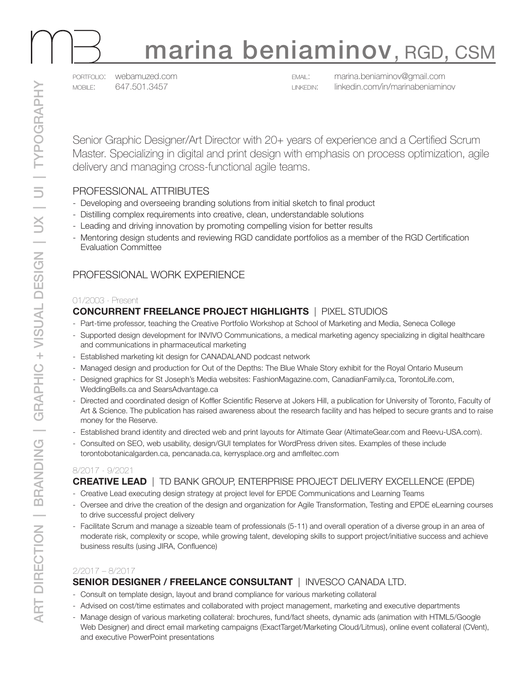

# marina beniaminov, RGD, CSM

portfolio: [webamuzed.com](https://webamuzed.com/) mobile: 647.501.3457

email: [marina.beniaminov@gmail.com](mailto:marina.beniaminov%40gmail.com?subject=Resume) linkedin: [linkedin.com/in/marinabeniaminov](https://www.linkedin.com/in/marinabeniaminov/)

Senior Graphic Designer/Art Director with 20+ years of experience and a Certified Scrum Master. Specializing in digital and print design with emphasis on process optimization, agile delivery and managing cross-functional agile teams.

## PROFESSIONAL ATTRIBUTES

- Developing and overseeing branding solutions from initial sketch to final product
- Distilling complex requirements into creative, clean, understandable solutions
- Leading and driving innovation by promoting compelling vision for better results
- Mentoring design students and reviewing RGD candidate portfolios as a member of the RGD Certification Evaluation Committee

## PROFESSIONAL WORK EXPERIENCE

#### 01/2003 - Present

### **CONCURRENT FREELANCE PROJECT HIGHLIGHTS** | PIXEL STUDIOS

- Part-time professor, teaching the Creative Portfolio Workshop at School of Marketing and Media, Seneca College
- Supported design development for INVIVO Communications, a medical marketing agency specializing in digital healthcare and communications in pharmaceutical marketing
- Established marketing kit design for CANADALAND podcast network
- Managed design and production for Out of the Depths: The Blue Whale Story exhibit for the Royal Ontario Museum
- Designed graphics for St Joseph's Media websites: FashionMagazine.com, CanadianFamily.ca, TorontoLife.com, WeddingBells.ca and SearsAdvantage.ca
- Directed and coordinated design of Koffler Scientific Reserve at Jokers Hill, a publication for University of Toronto, Faculty of Art & Science. The publication has raised awareness about the research facility and has helped to secure grants and to raise money for the Reserve.
- Established brand identity and directed web and print layouts for Altimate Gear (AltimateGear.com and Reevu-USA.com).
- Consulted on SEO, web usability, design/GUI templates for WordPress driven sites. Examples of these include torontobotanicalgarden.ca, pencanada.ca, kerrysplace.org and amfleltec.com

#### 8/2017 - 9/2021

### **CREATIVE LEAD** | TD BANK GROUP, ENTERPRISE PROJECT DELIVERY EXCELLENCE (EPDE)

- Creative Lead executing design strategy at project level for EPDE Communications and Learning Teams
- Oversee and drive the creation of the design and organization for Agile Transformation, Testing and EPDE eLearning courses to drive successful project delivery
- Facilitate Scrum and manage a sizeable team of professionals (5-11) and overall operation of a diverse group in an area of moderate risk, complexity or scope, while growing talent, developing skills to support project/initiative success and achieve business results (using JIRA, Confluence)

#### 2/2017 – 8/2017

### **SENIOR DESIGNER / FREELANCE CONSULTANT** | INVESCO CANADA LTD.

- Consult on template design, layout and brand compliance for various marketing collateral
- Advised on cost/time estimates and collaborated with project management, marketing and executive departments
- Manage design of various marketing collateral: brochures, fund/fact sheets, dynamic ads (animation with HTML5/Google Web Designer) and direct email marketing campaigns (ExactTarget/Marketing Cloud/Litmus), online event collateral (CVent), and executive PowerPoint presentations